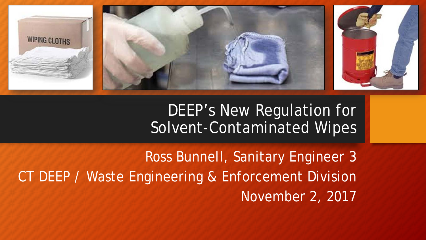

DEEP's New Regulation for Solvent-Contaminated Wipes

Ross Bunnell, Sanitary Engineer 3 CT DEEP / Waste Engineering & Enforcement Division November 2, 2017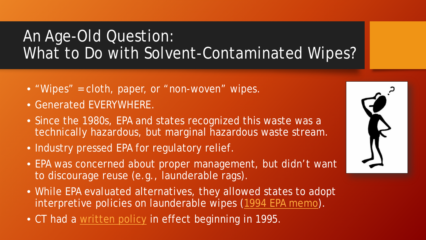## An Age-Old Question: What to Do with Solvent-Contaminated Wipes?

- "Wipes" = cloth, paper, or "non-woven" wipes.
- Generated EVERYWHERE.
- Since the 1980s, EPA and states recognized this waste was a technically hazardous, but marginal hazardous waste stream.
- Industry pressed EPA for regulatory relief.
- EPA was concerned about proper management, but didn't want to discourage reuse (e.g., launderable rags).
- While EPA evaluated alternatives, they allowed states to adopt interpretive policies on launderable wipes ([1994 EPA memo](https://rcrapublic.epa.gov/files/11813.pdf)).
- CT had a [written policy](https://portal.ct.gov/-/media/DEEP/waste_management_and_disposal/hazardous_waste/IndustrialRagHandlingFactSheetpdf.pdf) in effect beginning in 1995.

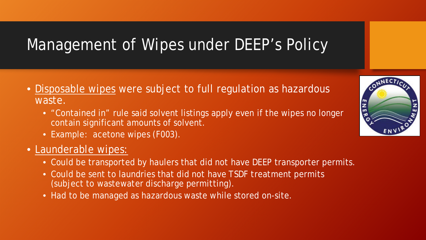### Management of Wipes under DEEP's Policy

- Disposable wipes were subject to full regulation as hazardous waste.
	- "Contained in" rule said solvent listings apply even if the wipes no longer contain significant amounts of solvent.
	- Example: acetone wipes (F003).
- Launderable wipes:
	- Could be transported by haulers that did not have DEEP transporter permits.
	- Could be sent to laundries that did not have TSDF treatment permits (subject to wastewater discharge permitting).
	- Had to be managed as hazardous waste while stored on-site.

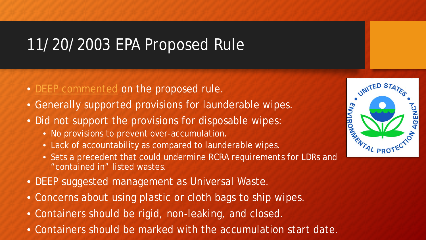### 11/20/2003 EPA Proposed Rule

- [DEEP commented](https://portal.ct.gov/-/media/deep/waste_management_and_disposal/hazardous_waste/Compendium/32050404_CT_DEP_Comments_on_EPA_2003_Proposed_Rule_re_Solvent_Wipes.pdf?la=en) on the proposed rule.
- Generally supported provisions for launderable wipes.
- Did not support the provisions for disposable wipes:
	- No provisions to prevent over-accumulation.
	- Lack of accountability as compared to launderable wipes.
	- Sets a precedent that could undermine RCRA requirements for LDRs and "contained in" listed wastes.
- DEEP suggested management as Universal Waste.
- Concerns about using plastic or cloth bags to ship wipes.
- Containers should be rigid, non-leaking, and closed.
- Containers should be marked with the accumulation start date.

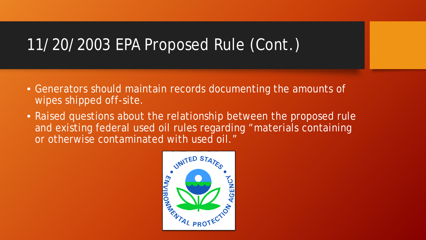### 11/20/2003 EPA Proposed Rule (Cont.)

- Generators should maintain records documenting the amounts of wipes shipped off-site.
- Raised questions about the relationship between the proposed rule and existing federal used oil rules regarding "materials containing or otherwise contaminated with used oil."

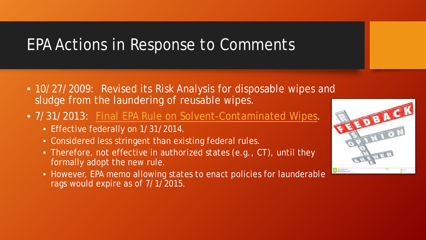### EPA Actions in Response to Comments

- 10/27/2009: Revised its Risk Analysis for disposable wipes and sludge from the laundering of reusable wipes.
- 7/31/2013: [Final EPA Rule on Solvent-Contaminated Wipes](https://www.epa.gov/hwgenerators/final-rule-2013-conditional-exclusions-solid-waste-and-hazardous-waste-solvent).
	- Effective federally on 1/31/2014.
	- Considered less stringent than existing federal rules.
	- Therefore, not effective in authorized states (e.g., CT), until they formally adopt the new rule.
	- However, EPA memo allowing states to enact policies for launderable rags would expire as of 7/1/2015.

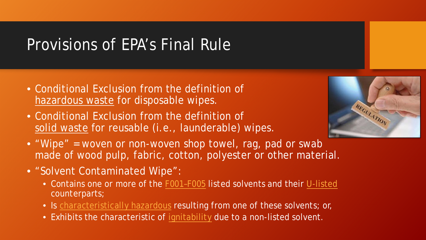### Provisions of EPA's Final Rule

- Conditional Exclusion from the definition of hazardous waste for disposable wipes.
- Conditional Exclusion from the definition of solid waste for reusable (i.e., launderable) wipes.



- "Wipe" = woven or non-woven shop towel, rag, pad or swab made of wood pulp, fabric, cotton, polyester or other material.
- "Solvent Contaminated Wipe":
	- Contains one or more of the [F001–F005](https://www.ecfr.gov/cgi-bin/text-idx?SID=dd50d482c62524e26dd54877c7ca1643&node=40:26.0.1.1.2.4.1.2&rgn=div8https://www.ecfr.gov/cgi-bin/text-idx?SID=dd50d482c62524e26dd54877c7ca1643&node=40:26.0.1.1.2.4.1.2&rgn=div8) listed solvents and their [U-listed](https://www.ecfr.gov/cgi-bin/text-idx?node=se40.26.261_133) counterparts;
	- Is [characteristically hazardous](http://www.ct.gov/deep/cwp/view.asp?a=2718&q=325422&deepNav_GID=1967#AppendixA) resulting from one of these solvents; or,
	- Exhibits the characteristic of [ignitability](http://www.ct.gov/deep/cwp/view.asp?a=2718&q=325422&deepNav_GID=1967#AppendixA) due to a non-listed solvent.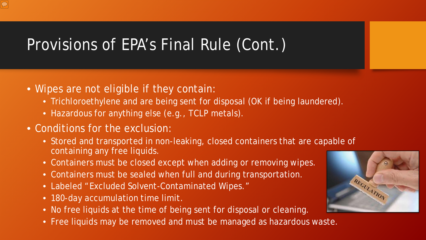## Provisions of EPA's Final Rule (Cont.)

- Wipes are not eligible if they contain:
	- Trichloroethylene and are being sent for disposal (OK if being laundered).
	- Hazardous for anything else (e.g., TCLP metals).
- Conditions for the exclusion:
	- Stored and transported in non-leaking, closed containers that are capable of containing any free liquids.
	- Containers must be closed except when adding or removing wipes.
	- Containers must be sealed when full and during transportation.
	- Labeled "Excluded Solvent-Contaminated Wipes."
	- 180-day accumulation time limit.
	- No free liquids at the time of being sent for disposal or cleaning.
	- Free liquids may be removed and must be managed as hazardous waste.

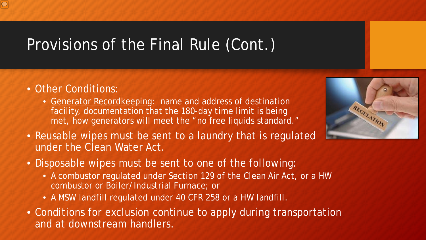# Provisions of the Final Rule (Cont.)

- Other Conditions:
	- Generator Recordkeeping: name and address of destination facility, documentation that the 180-day time limit is being met, how generators will meet the "no free liquids standard."
- Reusable wipes must be sent to a laundry that is regulated under the Clean Water Act.
- Disposable wipes must be sent to one of the following:
	- A combustor regulated under Section 129 of the Clean Air Act, or a HW combustor or Boiler/Industrial Furnace; or
	- A MSW landfill regulated under 40 CFR 258 or a HW landfill.
- Conditions for exclusion continue to apply during transportation and at downstream handlers.

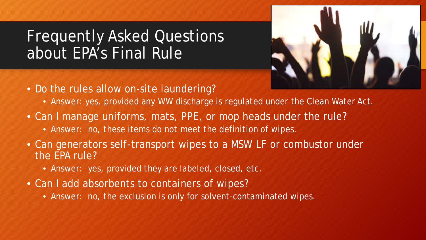### Frequently Asked Questions about EPA's Final Rule



- Do the rules allow on-site laundering?
	- Answer: yes, provided any WW discharge is regulated under the Clean Water Act.
- Can I manage uniforms, mats, PPE, or mop heads under the rule?
	- Answer: no, these items do not meet the definition of wipes.
- Can generators self-transport wipes to a MSW LF or combustor under the EPA rule?
	- Answer: yes, provided they are labeled, closed, etc.
- Can I add absorbents to containers of wipes?
	- Answer: no, the exclusion is only for solvent-contaminated wipes.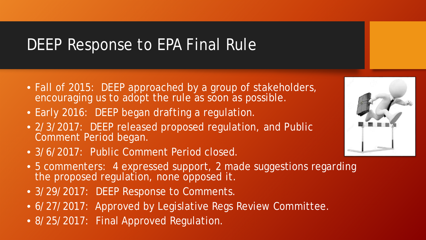### DEEP Response to EPA Final Rule

- Fall of 2015: DEEP approached by a group of stakeholders, encouraging us to adopt the rule as soon as possible.
- Early 2016: DEEP began drafting a regulation.
- 2/3/2017: DEEP released proposed regulation, and Public Comment Period began.
- 3/6/2017: Public Comment Period closed.
- 5 commenters: 4 expressed support, 2 made suggestions regarding the proposed regulation, none opposed it.
- 3/29/2017: DEEP Response to Comments.
- 6/27/2017: Approved by Legislative Regs Review Committee.
- 8/25/2017: Final Approved Regulation.

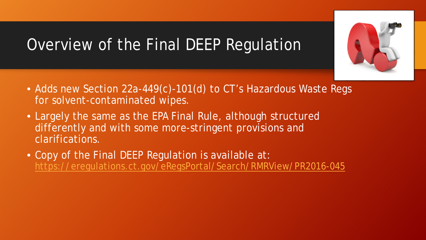## Overview of the Final DEEP Regulation

- Adds new Section 22a-449(c)-101(d) to CT's Hazardous Waste Regs for solvent-contaminated wipes.
- Largely the same as the EPA Final Rule, although structured differently and with some more-stringent provisions and clarifications.
- Copy of the Final DEEP Regulation is available at: <https://eregulations.ct.gov/eRegsPortal/Search/RMRView/PR2016-045>

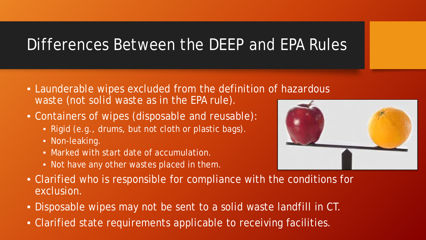### Differences Between the DEEP and EPA Rules

- Launderable wipes excluded from the definition of *hazardous waste* (not *solid waste* as in the EPA rule).
- Containers of wipes (disposable and reusable):
	- Rigid (e.g., drums, but not cloth or plastic bags).
	- Non-leaking.
	- Marked with start date of accumulation.
	- Not have any other wastes placed in them.



- Clarified who is responsible for compliance with the conditions for exclusion.
- Disposable wipes may not be sent to a solid waste landfill in CT.
- Clarified state requirements applicable to receiving facilities.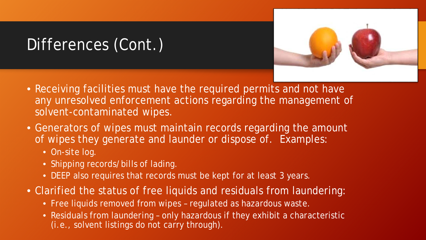## Differences (Cont.)



- Receiving facilities must have the required permits and not have any unresolved enforcement actions regarding the management of solvent-contaminated wipes.
- Generators of wipes must maintain records regarding the amount of wipes they generate and launder or dispose of. Examples:
	- On-site log.
	- Shipping records/bills of lading.
	- DEEP also requires that records must be kept for at least 3 years.
- Clarified the status of free liquids and residuals from laundering:
	- Free liquids removed from wipes regulated as hazardous waste.
	- Residuals from laundering only hazardous if they exhibit a characteristic (i.e., solvent listings do not carry through).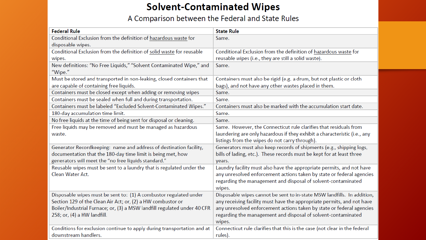#### **Solvent-Contaminated Wipes**

A Comparison between the Federal and State Rules

| <b>Federal Rule</b>                                                      | <b>State Rule</b>                                                          |
|--------------------------------------------------------------------------|----------------------------------------------------------------------------|
| Conditional Exclusion from the definition of hazardous waste for         | Same.                                                                      |
| disposable wipes.                                                        |                                                                            |
| Conditional Exclusion from the definition of solid waste for reusable    | Conditional Exclusion from the definition of hazardous waste for           |
| wipes.                                                                   | reusable wipes (i.e., they are still a solid waste).                       |
| New definitions: "No Free Liquids," "Solvent Contaminated Wipe," and     | Same.                                                                      |
| "Wipe."                                                                  |                                                                            |
| Must be stored and transported in non-leaking, closed containers that    | Containers must also be rigid (e.g. a drum, but not plastic or cloth       |
| are capable of containing free liquids.                                  | bags), and not have any other wastes placed in them.                       |
| Containers must be closed except when adding or removing wipes           | Same.                                                                      |
| Containers must be sealed when full and during transportation.           | Same.                                                                      |
| Containers must be labeled "Excluded Solvent-Contaminated Wipes."        | Containers must also be marked with the accumulation start date.           |
| 180-day accumulation time limit.                                         | Same.                                                                      |
| No free liquids at the time of being sent for disposal or cleaning.      | Same.                                                                      |
| Free liquids may be removed and must be managed as hazardous             | Same. However, the Connecticut rule clarifies that residuals from          |
| waste.                                                                   | laundering are only hazardous if they exhibit a characteristic (i.e., any  |
|                                                                          | listings from the wipes do not carry through).                             |
| Generator Recordkeeping: name and address of destination facility,       | Generators must also keep records of shipments (e.g., shipping logs,       |
| documentation that the 180-day time limit is being met, how              | bills of lading, etc.). These records must be kept for at least three      |
| generators will meet the "no free liquids standard."                     | years.                                                                     |
| Reusable wipes must be sent to a laundry that is regulated under the     | Laundry facility must also have the appropriate permits, and not have      |
| Clean Water Act.                                                         | any unresolved enforcement actions taken by state or federal agencies      |
|                                                                          | regarding the management and disposal of solvent-contaminated              |
|                                                                          | wipes.                                                                     |
| Disposable wipes must be sent to: (1) A combustor regulated under        | Disposable wipes cannot be sent to in-state MSW landfills. In addition,    |
| Section 129 of the Clean Air Act; or, (2) a HW combustor or              | any receiving facility must have the appropriate permits, and not have     |
| Boiler/Industrial Furnace; or, (3) a MSW landfill regulated under 40 CFR | any unresolved enforcement actions taken by state or federal agencies      |
| 258; or, (4) a HW landfill.                                              | regarding the management and disposal of solvent-contaminated              |
|                                                                          | wipes.                                                                     |
| Conditions for exclusion continue to apply during transportation and at  | Connecticut rule clarifies that this is the case (not clear in the federal |
| downstream handlers.                                                     | rules).                                                                    |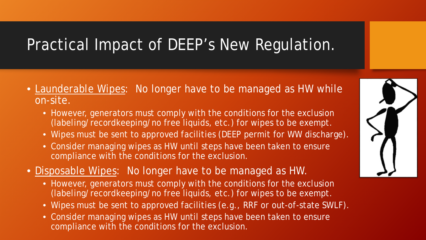### Practical Impact of DEEP's New Regulation.

- Launderable Wipes: No longer have to be managed as HW while on-site.
	- However, generators must comply with the conditions for the exclusion (labeling/recordkeeping/no free liquids, etc.) for wipes to be exempt.
	- Wipes must be sent to approved facilities (DEEP permit for WW discharge).
	- Consider managing wipes as HW until steps have been taken to ensure compliance with the conditions for the exclusion.
- Disposable Wipes: No longer have to be managed as HW.
	- However, generators must comply with the conditions for the exclusion (labeling/recordkeeping/no free liquids, etc.) for wipes to be exempt.
	- Wipes must be sent to approved facilities (e.g., RRF or out-of-state SWLF).
	- Consider managing wipes as HW until steps have been taken to ensure compliance with the conditions for the exclusion.

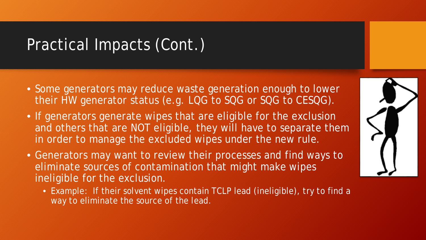### Practical Impacts (Cont.)

- Some generators may reduce waste generation enough to lower their HW generator status (e.g. LQG to SQG or SQG to CESQG).
- If generators generate wipes that are eligible for the exclusion and others that are NOT eligible, they will have to separate them in order to manage the excluded wipes under the new rule.
- Generators may want to review their processes and find ways to eliminate sources of contamination that might make wipes ineligible for the exclusion.
	- Example: If their solvent wipes contain TCLP lead (ineligible), try to find a way to eliminate the source of the lead.

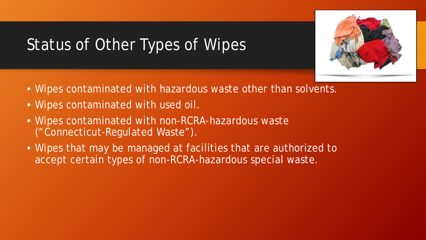# Status of Other Types of Wipes

- Wipes contaminated with hazardous waste other than solvents.
- Wipes contaminated with used oil.
- Wipes contaminated with non-RCRA-hazardous waste ("Connecticut-Regulated Waste").
- Wipes that may be managed at facilities that are authorized to accept certain types of non-RCRA-hazardous special waste.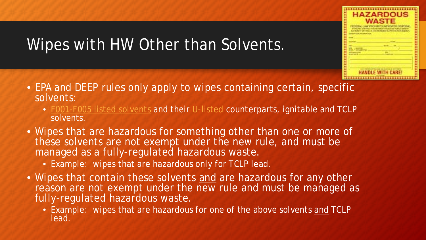

## Wipes with HW Other than Solvents.

- EPA and DEEP rules only apply to wipes containing certain, specific solvents:
	- [F001-F005 listed solvents](https://www.ecfr.gov/cgi-bin/text-idx?SID=dd50d482c62524e26dd54877c7ca1643&node=40:26.0.1.1.2.4.1.2&rgn=div8https://www.ecfr.gov/cgi-bin/text-idx?SID=dd50d482c62524e26dd54877c7ca1643&node=40:26.0.1.1.2.4.1.2&rgn=div8) and their [U-listed](https://www.ecfr.gov/cgi-bin/text-idx?node=se40.26.261_133) counterparts, ignitable and TCLP solvents.
- Wipes that are hazardous for something other than one or more of these solvents are not exempt under the new rule, and must be managed as a fully-regulated hazardous waste.
	- Example: wipes that are hazardous only for TCLP lead.
- Wipes that contain these solvents *and* are hazardous for any other reason are not exempt under the new rule and must be managed as fully-regulated hazardous waste.
	- Example: wipes that are hazardous for one of the above solvents *and* TCLP lead.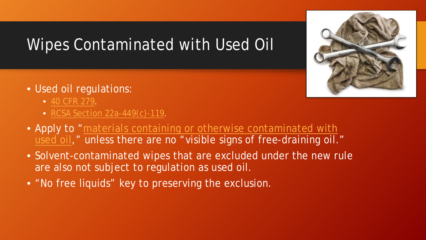## Wipes Contaminated with Used Oil

- Used oil regulations:
	- [40 CFR 279.](https://www.ecfr.gov/cgi-bin/text-idx?tpl=/ecfrbrowse/Title40/40cfr279_main_02.tpl)
	- [RCSA Section 22a-449\(c\)-119](http://eregulations.ct.gov/eRegsPortal/Browse/getDocument?guid=%7B3B8DD983-E882-4855-9DAD-0167870A7281%7D).
- [Apply to "materials containing or otherwise contaminated with](https://portal.ct.gov/-/media/DEEP/waste_management_and_disposal/used_oil/MaterialsContainingUsedOilpdf.pdf)  used oil," unless there are no "visible signs of free-draining oil."
- Solvent-contaminated wipes that are excluded under the new rule are also not subject to regulation as used oil.
- "No free liquids" key to preserving the exclusion.

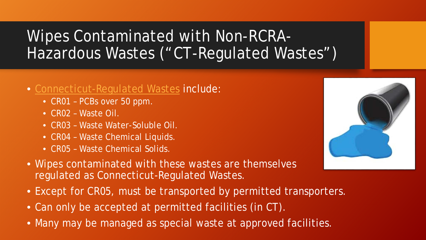## Wipes Contaminated with Non-RCRA-Hazardous Wastes ("CT-Regulated Wastes")

#### • [Connecticut-Regulated Wastes](http://www.ct.gov/deep/cwp/view.asp?a=2718&q=325428&deepNav_GID=1967) include:

- CR01 PCBs over 50 ppm.
- CR02 Waste Oil.
- CR03 Waste Water-Soluble Oil.
- CR04 Waste Chemical Liquids.
- CR05 Waste Chemical Solids.



- Except for CR05, must be transported by permitted transporters.
- Can only be accepted at permitted facilities (in CT).
- Many may be managed as special waste at approved facilities.

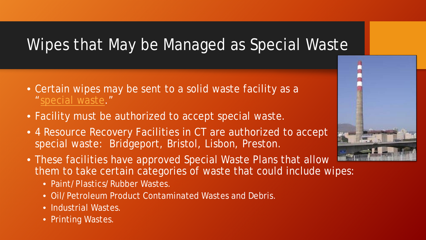## Wipes that May be Managed as Special Waste

- Certain wipes may be sent to a solid waste facility as a ["special waste](http://www.ct.gov/deep/cwp/view.asp?a=2709&q=324202&depNav_GID=1646)."
- Facility must be authorized to accept special waste.
- 4 Resource Recovery Facilities in CT are authorized to accept special waste: Bridgeport, Bristol, Lisbon, Preston.
- These facilities have approved Special Waste Plans that allow them to take certain categories of waste that could include wipes:
	- Paint/Plastics/Rubber Wastes.
	- Oil/Petroleum Product Contaminated Wastes and Debris.
	- Industrial Wastes.
	- Printing Wastes.

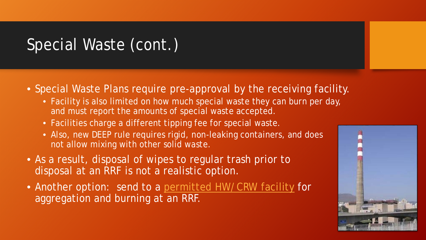## Special Waste (cont.)

- Special Waste Plans require pre-approval by the receiving facility.
	- Facility is also limited on how much special waste they can burn per day, and must report the amounts of special waste accepted.
	- Facilities charge a different tipping fee for special waste.
	- Also, new DEEP rule requires rigid, non-leaking containers, and does not allow mixing with other solid waste.
- As a result, disposal of wipes to regular trash prior to disposal at an RRF is not a realistic option.
- Another option: send to a [permitted HW/CRW facility](http://www.ct.gov/deep/cwp/view.asp?a=2718&q=325490&deepNav_GID=1967) for aggregation and burning at an RRF.

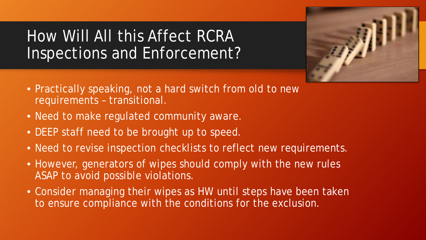### How Will All this Affect RCRA Inspections and Enforcement?



- Practically speaking, not a hard switch from old to new requirements – transitional.
- Need to make regulated community aware.
- DEEP staff need to be brought up to speed.
- Need to revise inspection checklists to reflect new requirements.
- However, generators of wipes should comply with the new rules ASAP to avoid possible violations.
- Consider managing their wipes as HW until steps have been taken to ensure compliance with the conditions for the exclusion.